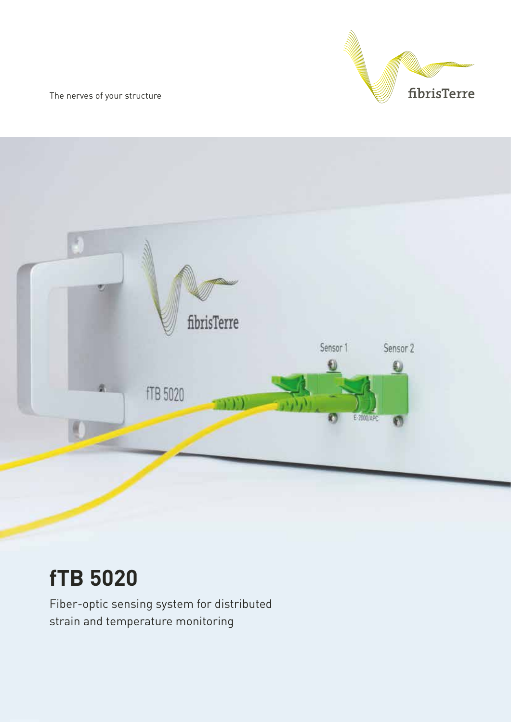The nerves of your structure





# **fTB 5020**

Fiber-optic sensing system for distributed strain and temperature monitoring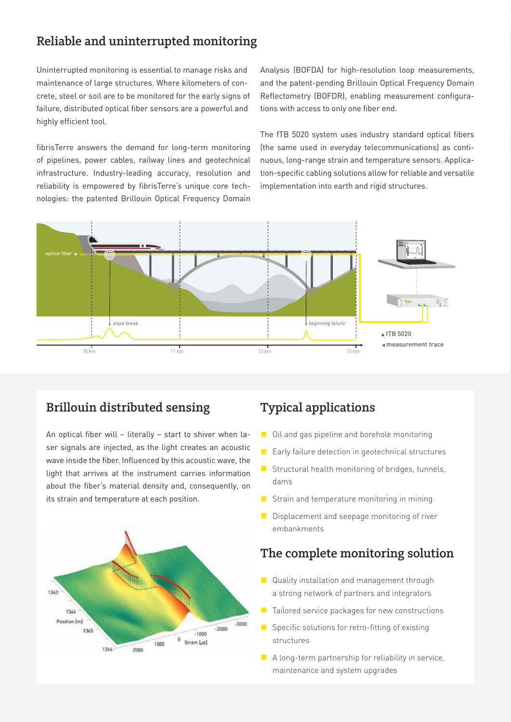### Reliable and uninterrupted monitoring

Uninterrupted monitoring is essential to manage risks and maintenance of large structures. Where kilometers of concrete, steel or soil are to be monitored for the early signs of failure, distributed optical fiber sensors are a powerful and highly efficient tool.

fibrisTerre answers the demand for long-term monitoring of pipelines, power cables, railway lines and geotechnical infrastructure. Industry-leading accuracy, resolution and reliability is empowered by fibrisTerre's unique core technologies: the patented Brillouin Optical Frequency Domain Analysis (BOFDA) for high-resolution loop measurements, and the patent-pending Brillouin Optical Frequency Domain Reflectometry (BOFDR), enabling measurement configurations with access to only one fiber end.

The fTB 5020 system uses industry standard optical fibers (the same used in everyday telecommunications) as continuous, long-range strain and temperature sensors. Application-specific cabling solutions allow for reliable and versatile implementation into earth and rigid structures.



### Brillouin distributed sensing

An optical fiber will – literally – start to shiver when laser signals are injected, as the light creates an acoustic wave inside the fiber. Influenced by this acoustic wave, the light that arrives at the instrument carries information about the fiber's material density and, consequently, on its strain and temperature at each position.



# Typical applications

- Oil and gas pipeline and borehole monitoring
- Early failure detection in geotechnical structures
- $\blacksquare$  Structural health monitoring of bridges, tunnels, dams
- $\blacksquare$  Strain and temperature monitoring in mining
- Displacement and seepage monitoring of river embankments

### The complete monitoring solution

- Quality installation and management through a strong network of partners and integrators
- $\blacksquare$  Tailored service packages for new constructions
- $\blacksquare$  Specific solutions for retro-fitting of existing structures
- $\blacksquare$  A long-term partnership for reliability in service, maintenance and system upgrades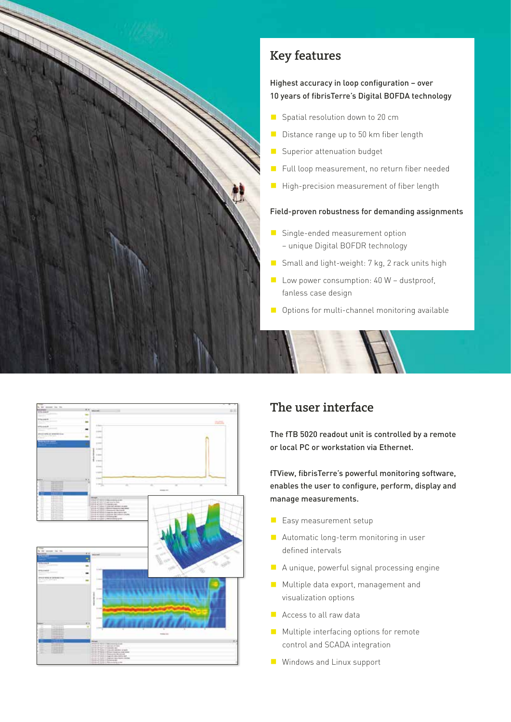

# Key features

#### Highest accuracy in loop configuration – over 10 years of fibrisTerre's Digital BOFDA technology

- Spatial resolution down to 20 cm
- Distance range up to 50 km fiber length
- Superior attenuation budget
- Full loop measurement, no return fiber needed
- High-precision measurement of fiber length

#### Field-proven robustness for demanding assignments

- Single-ended measurement option
	- unique Digital BOFDR technology
- Small and light-weight: 7 kg, 2 rack units high
- $\blacksquare$  Low power consumption: 40 W dustproof, fanless case design
- $\Box$  Options for multi-channel monitoring available



# The user interface

The fTB 5020 readout unit is controlled by a remote or local PC or workstation via Ethernet.

fTView, fibrisTerre's powerful monitoring software, enables the user to configure, perform, display and manage measurements.

- **E** Easy measurement setup
- Automatic long-term monitoring in user defined intervals
- $\blacksquare$  A unique, powerful signal processing engine
- Multiple data export, management and visualization options
- Access to all raw data
- $\blacksquare$  Multiple interfacing options for remote control and SCADA integration
- Windows and Linux support